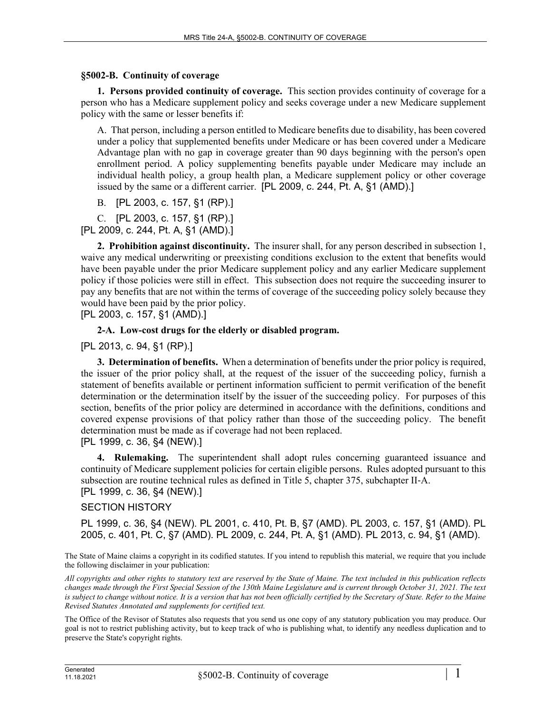## **§5002-B. Continuity of coverage**

**1. Persons provided continuity of coverage.** This section provides continuity of coverage for a person who has a Medicare supplement policy and seeks coverage under a new Medicare supplement policy with the same or lesser benefits if:

A. That person, including a person entitled to Medicare benefits due to disability, has been covered under a policy that supplemented benefits under Medicare or has been covered under a Medicare Advantage plan with no gap in coverage greater than 90 days beginning with the person's open enrollment period. A policy supplementing benefits payable under Medicare may include an individual health policy, a group health plan, a Medicare supplement policy or other coverage issued by the same or a different carrier. [PL 2009, c. 244, Pt. A, §1 (AMD).]

B. [PL 2003, c. 157, §1 (RP).]

C. [PL 2003, c. 157, §1 (RP).] [PL 2009, c. 244, Pt. A, §1 (AMD).]

**2. Prohibition against discontinuity.** The insurer shall, for any person described in subsection 1, waive any medical underwriting or preexisting conditions exclusion to the extent that benefits would have been payable under the prior Medicare supplement policy and any earlier Medicare supplement policy if those policies were still in effect. This subsection does not require the succeeding insurer to pay any benefits that are not within the terms of coverage of the succeeding policy solely because they would have been paid by the prior policy.

[PL 2003, c. 157, §1 (AMD).]

## **2-A. Low-cost drugs for the elderly or disabled program.**

[PL 2013, c. 94, §1 (RP).]

**3. Determination of benefits.** When a determination of benefits under the prior policy is required, the issuer of the prior policy shall, at the request of the issuer of the succeeding policy, furnish a statement of benefits available or pertinent information sufficient to permit verification of the benefit determination or the determination itself by the issuer of the succeeding policy. For purposes of this section, benefits of the prior policy are determined in accordance with the definitions, conditions and covered expense provisions of that policy rather than those of the succeeding policy. The benefit determination must be made as if coverage had not been replaced.

## [PL 1999, c. 36, §4 (NEW).]

**4. Rulemaking.** The superintendent shall adopt rules concerning guaranteed issuance and continuity of Medicare supplement policies for certain eligible persons. Rules adopted pursuant to this subsection are routine technical rules as defined in Title 5, chapter 375, subchapter II-A. [PL 1999, c. 36, §4 (NEW).]

## SECTION HISTORY

PL 1999, c. 36, §4 (NEW). PL 2001, c. 410, Pt. B, §7 (AMD). PL 2003, c. 157, §1 (AMD). PL 2005, c. 401, Pt. C, §7 (AMD). PL 2009, c. 244, Pt. A, §1 (AMD). PL 2013, c. 94, §1 (AMD).

The State of Maine claims a copyright in its codified statutes. If you intend to republish this material, we require that you include the following disclaimer in your publication:

*All copyrights and other rights to statutory text are reserved by the State of Maine. The text included in this publication reflects changes made through the First Special Session of the 130th Maine Legislature and is current through October 31, 2021. The text*  is subject to change without notice. It is a version that has not been officially certified by the Secretary of State. Refer to the Maine *Revised Statutes Annotated and supplements for certified text.*

The Office of the Revisor of Statutes also requests that you send us one copy of any statutory publication you may produce. Our goal is not to restrict publishing activity, but to keep track of who is publishing what, to identify any needless duplication and to preserve the State's copyright rights.